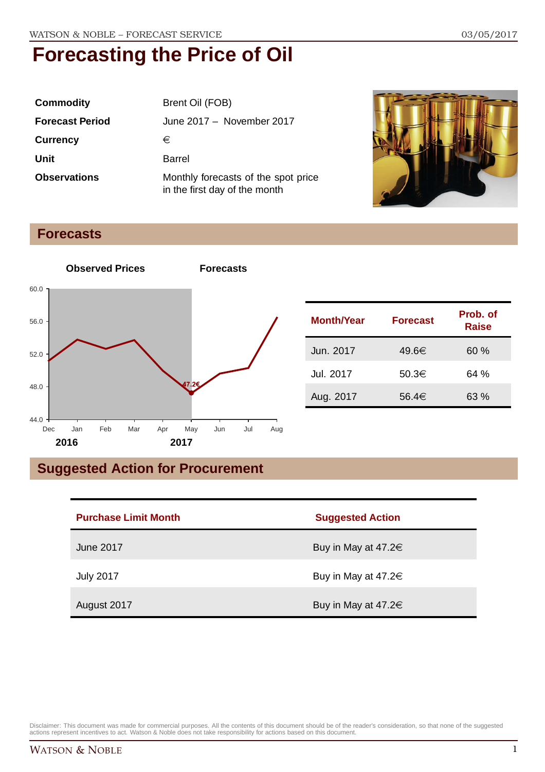| <b>Commodity</b>       | Brent Oil (FOB)                                                      |  |
|------------------------|----------------------------------------------------------------------|--|
| <b>Forecast Period</b> | June 2017 - November 2017                                            |  |
| <b>Currency</b>        | €                                                                    |  |
| Unit                   | Barrel                                                               |  |
| <b>Observations</b>    | Monthly forecasts of the spot price<br>in the first day of the month |  |



#### **Forecasts**



| <b>Month/Year</b> | <b>Forecast</b> | Prob. of<br><b>Raise</b> |
|-------------------|-----------------|--------------------------|
| Jun. 2017         | 49.6€           | 60%                      |
| Jul. 2017         | 50.3€           | 64 %                     |
| Aug. 2017         | 56.4€           | 63 %                     |

### **Suggested Action for Procurement**

| <b>Purchase Limit Month</b> | <b>Suggested Action</b>  |
|-----------------------------|--------------------------|
| June 2017                   | Buy in May at 47.2 $\in$ |
| <b>July 2017</b>            | Buy in May at 47.2 $\in$ |
| August 2017                 | Buy in May at 47.2 $\in$ |

Disclaimer: This document was made for commercial purposes. All the contents of this document should be of the reader's consideration, so that none of the suggested<br>actions represent incentives to act. Watson & Noble does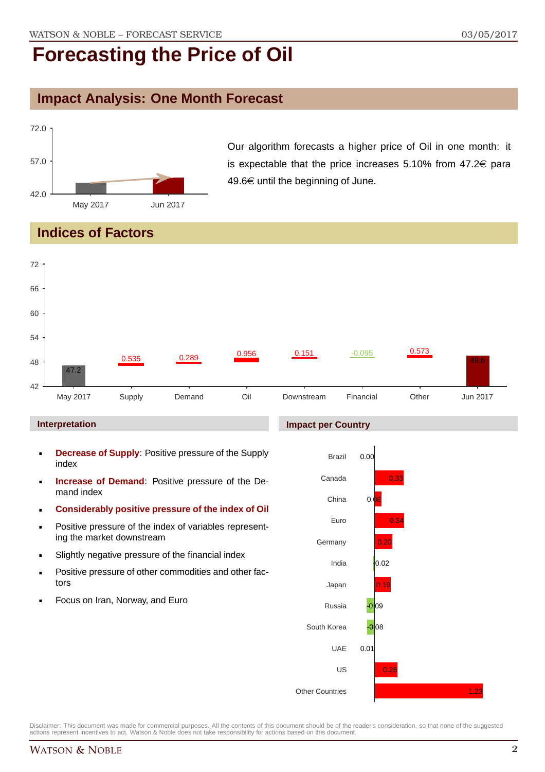### **Impact Analysis: One Month Forecast**



Our algorithm forecasts a higher price of Oil in one month: it is expectable that the price increases 5.10% from  $47.2 \in$  para 49.6 $\in$  until the beginning of June.

#### **Indices of Factors**



#### **Interpretation**

- **Decrease of Supply**: Positive pressure of the Supply index
- **Increase of Demand**: Positive pressure of the Demand index
- **Considerably positive pressure of the index of Oil**
- **Positive pressure of the index of variables represent**ing the market downstream
- Slightly negative pressure of the financial index
- **Positive pressure of other commodities and other fac**tors
- Focus on Iran, Norway, and Euro

#### **Impact per Country**



Disclaimer: This document was made for commercial purposes. All the contents of this document should be of the reader's consideration, so that none of the suggested actions represent incentives to act. Watson & Noble does not take responsibility for actions based on this document.

1.23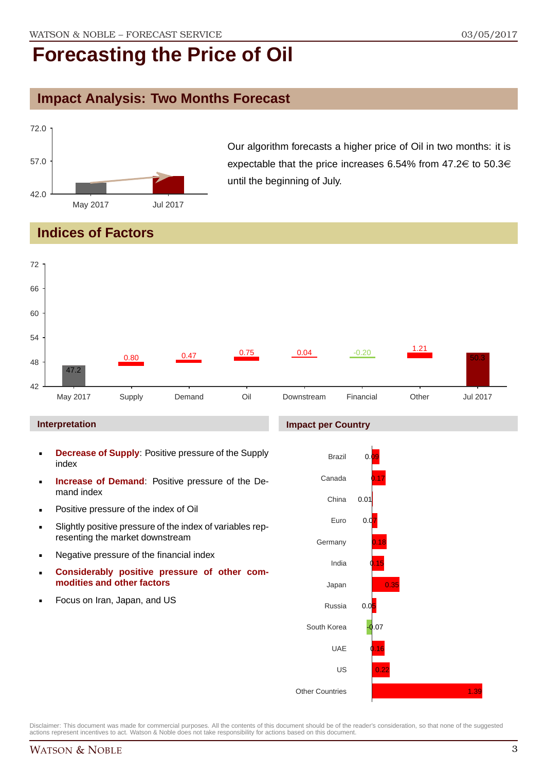#### **Impact Analysis: Two Months Forecast**



Our algorithm forecasts a higher price of Oil in two months: it is expectable that the price increases 6.54% from 47.2 $\in$  to 50.3 $\in$ until the beginning of July.

### **Indices of Factors**

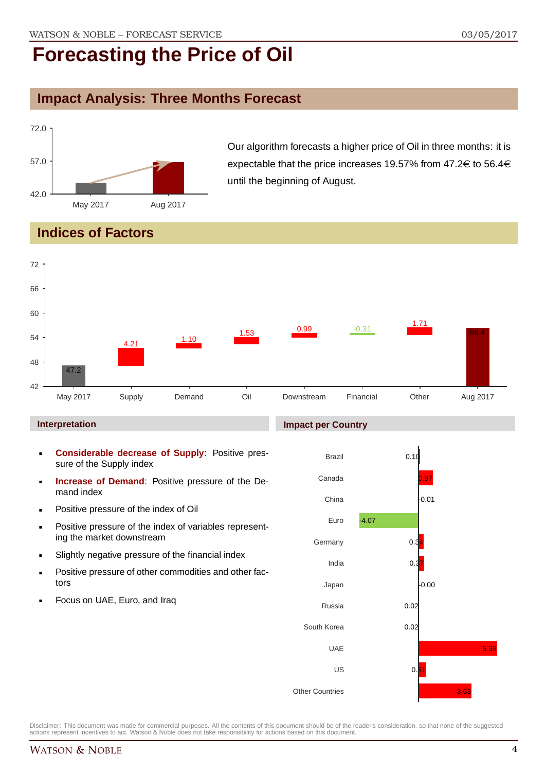### **Impact Analysis: Three Months Forecast**



Our algorithm forecasts a higher price of Oil in three months: it is expectable that the price increases 19.57% from 47.2 $\in$  to 56.4 $\in$ until the beginning of August.

#### **Indices of Factors**



#### **Interpretation**

- **Considerable decrease of Supply**: Positive pressure of the Supply index
- **Increase of Demand**: Positive pressure of the Demand index
- **Positive pressure of the index of Oil**
- **Positive pressure of the index of variables represent**ing the market downstream
- Slightly negative pressure of the financial index
- **Positive pressure of other commodities and other fac**tors
- Focus on UAE, Euro, and Iraq

#### **Impact per Country**

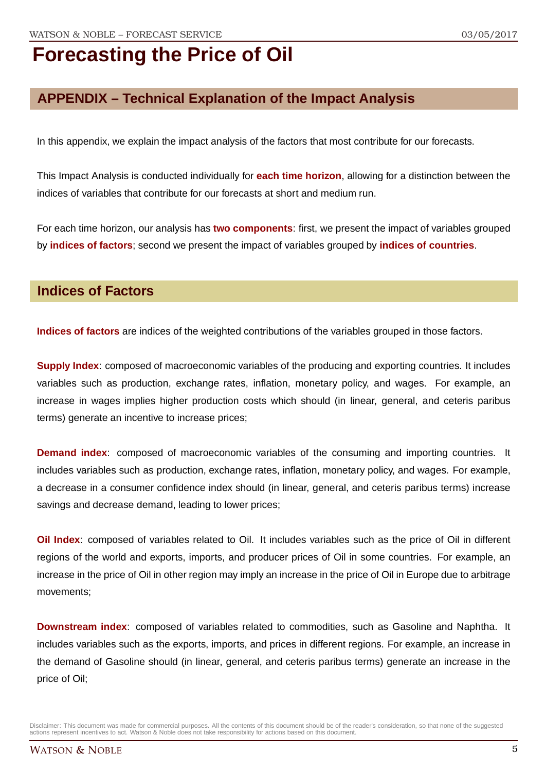### **APPENDIX – Technical Explanation of the Impact Analysis**

In this appendix, we explain the impact analysis of the factors that most contribute for our forecasts.

This Impact Analysis is conducted individually for **each time horizon**, allowing for a distinction between the indices of variables that contribute for our forecasts at short and medium run.

For each time horizon, our analysis has **two components**: first, we present the impact of variables grouped by **indices of factors**; second we present the impact of variables grouped by **indices of countries**.

#### **Indices of Factors**

**Indices of factors** are indices of the weighted contributions of the variables grouped in those factors.

**Supply Index**: composed of macroeconomic variables of the producing and exporting countries. It includes variables such as production, exchange rates, inflation, monetary policy, and wages. For example, an increase in wages implies higher production costs which should (in linear, general, and ceteris paribus terms) generate an incentive to increase prices;

**Demand index**: composed of macroeconomic variables of the consuming and importing countries. It includes variables such as production, exchange rates, inflation, monetary policy, and wages. For example, a decrease in a consumer confidence index should (in linear, general, and ceteris paribus terms) increase savings and decrease demand, leading to lower prices;

**Oil Index**: composed of variables related to Oil. It includes variables such as the price of Oil in different regions of the world and exports, imports, and producer prices of Oil in some countries. For example, an increase in the price of Oil in other region may imply an increase in the price of Oil in Europe due to arbitrage movements;

**Downstream index**: composed of variables related to commodities, such as Gasoline and Naphtha. It includes variables such as the exports, imports, and prices in different regions. For example, an increase in the demand of Gasoline should (in linear, general, and ceteris paribus terms) generate an increase in the price of Oil;